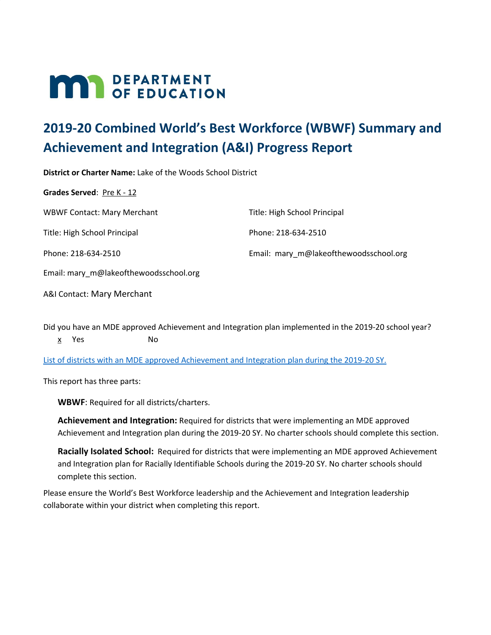# **MAR** DEPARTMENT

# **2019-20 Combined World's Best Workforce (WBWF) Summary and Achievement and Integration (A&I) Progress Report**

**District or Charter Name:** Lake of the Woods School District **Grades Served: Pre K - 12** WBWF Contact: Mary Merchant Title: High School Principal Phone: 218-634-2510 Email: mary\_m@lakeofthewoodsschool.org Title: High School Principal Phone: 218-634-2510 Email: mary\_m@lakeofthewoodsschool.org

A&I Contact: Mary Merchant

Did you have an MDE approved Achievement and Integration plan implemented in the 2019-20 school year? x Yes No

List of districts with an MDE approved [Achievement](https://education.mn.gov/MDE/fam/003359) and Integration plan during the 2019-20 SY.

This report has three parts:

**WBWF**: Required for all districts/charters.

**Achievement and Integration:** Required for districts that were implementing an MDE approved Achievement and Integration plan during the 2019-20 SY. No charter schools should complete this section.

**Racially Isolated School:** Required for districts that were implementing an MDE approved Achievement and Integration plan for Racially Identifiable Schools during the 2019-20 SY. No charter schools should complete this section.

Please ensure the World's Best Workforce leadership and the Achievement and Integration leadership collaborate within your district when completing this report.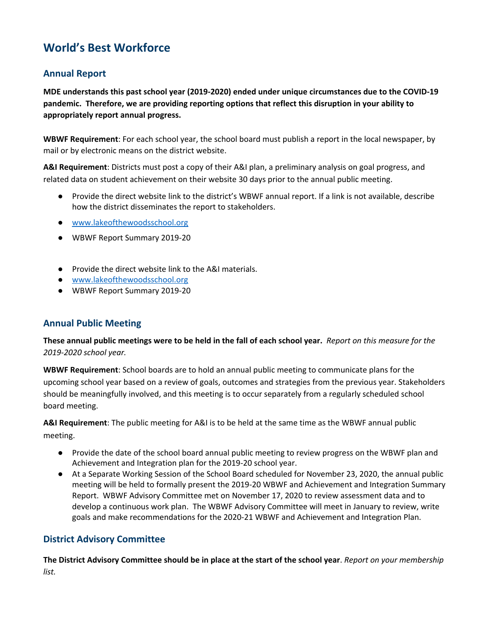# **World's Best Workforce**

# **Annual Report**

**MDE understands this past school year (2019-2020) ended under unique circumstances due to the COVID-19 pandemic. Therefore, we are providing reporting options that reflect this disruption in your ability to appropriately report annual progress.**

**WBWF Requirement**: For each school year, the school board must publish a report in the local newspaper, by mail or by electronic means on the district website.

**A&I Requirement**: Districts must post a copy of their A&I plan, a preliminary analysis on goal progress, and related data on student achievement on their website 30 days prior to the annual public meeting.

- Provide the direct website link to the district's WBWF annual report. If a link is not available, describe how the district disseminates the report to stakeholders.
- [www.lakeofthewoodsschool.org](http://www.lakeofthewoodsschool.org/)
- WBWF Report Summary 2019-20
- Provide the direct website link to the A&I materials.
- [www.lakeofthewoodsschool.org](http://www.lakeofthewoodsschool.org/)
- WBWF Report Summary 2019-20

# **Annual Public Meeting**

These annual public meetings were to be held in the fall of each school year. Report on this measure for the *2019-2020 school year.*

**WBWF Requirement**: School boards are to hold an annual public meeting to communicate plans for the upcoming school year based on a review of goals, outcomes and strategies from the previous year. Stakeholders should be meaningfully involved, and this meeting is to occur separately from a regularly scheduled school board meeting.

**A&I Requirement**: The public meeting for A&I is to be held at the same time as the WBWF annual public meeting.

- Provide the date of the school board annual public meeting to review progress on the WBWF plan and Achievement and Integration plan for the 2019-20 school year.
- At a Separate Working Session of the School Board scheduled for November 23, 2020, the annual public meeting will be held to formally present the 2019-20 WBWF and Achievement and Integration Summary Report. WBWF Advisory Committee met on November 17, 2020 to review assessment data and to develop a continuous work plan. The WBWF Advisory Committee will meet in January to review, write goals and make recommendations for the 2020-21 WBWF and Achievement and Integration Plan.

# **District Advisory Committee**

The District Advisory Committee should be in place at the start of the school year. Report on your membership *list.*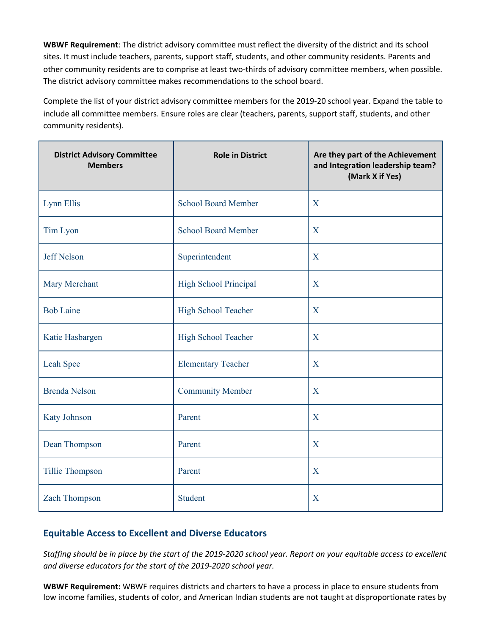**WBWF Requirement**: The district advisory committee must reflect the diversity of the district and its school sites. It must include teachers, parents, support staff, students, and other community residents. Parents and other community residents are to comprise at least two-thirds of advisory committee members, when possible. The district advisory committee makes recommendations to the school board.

Complete the list of your district advisory committee members for the 2019-20 school year. Expand the table to include all committee members. Ensure roles are clear (teachers, parents, support staff, students, and other community residents).

| <b>District Advisory Committee</b><br><b>Members</b> | <b>Role in District</b>      | Are they part of the Achievement<br>and Integration leadership team?<br>(Mark X if Yes) |
|------------------------------------------------------|------------------------------|-----------------------------------------------------------------------------------------|
| Lynn Ellis                                           | <b>School Board Member</b>   | X                                                                                       |
| Tim Lyon                                             | <b>School Board Member</b>   | X                                                                                       |
| <b>Jeff Nelson</b>                                   | Superintendent               | X                                                                                       |
| Mary Merchant                                        | <b>High School Principal</b> | X                                                                                       |
| <b>Bob Laine</b>                                     | High School Teacher          | X                                                                                       |
| Katie Hasbargen                                      | High School Teacher          | X                                                                                       |
| Leah Spee                                            | <b>Elementary Teacher</b>    | X                                                                                       |
| <b>Brenda Nelson</b>                                 | <b>Community Member</b>      | X                                                                                       |
| Katy Johnson                                         | Parent                       | X                                                                                       |
| Dean Thompson                                        | Parent                       | X                                                                                       |
| Tillie Thompson                                      | Parent                       | X                                                                                       |
| <b>Zach Thompson</b>                                 | Student                      | X                                                                                       |

# **Equitable Access to Excellent and Diverse Educators**

Staffing should be in place by the start of the 2019-2020 school year. Report on your equitable access to excellent *and diverse educators for the start of the 2019-2020 school year.*

**WBWF Requirement:** WBWF requires districts and charters to have a process in place to ensure students from low income families, students of color, and American Indian students are not taught at disproportionate rates by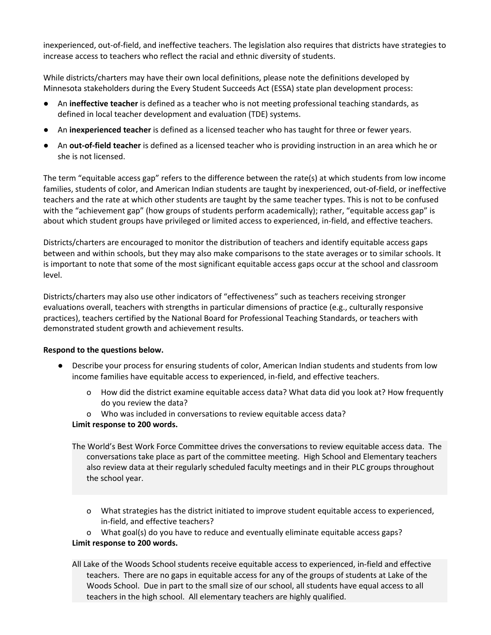inexperienced, out-of-field, and ineffective teachers. The legislation also requires that districts have strategies to increase access to teachers who reflect the racial and ethnic diversity of students.

While districts/charters may have their own local definitions, please note the definitions developed by Minnesota stakeholders during the Every Student Succeeds Act (ESSA) state plan development process:

- An **ineffective teacher** is defined as a teacher who is not meeting professional teaching standards, as defined in local teacher development and evaluation (TDE) systems.
- An **inexperienced teacher** is defined as a licensed teacher who has taught for three or fewer years.
- An **out-of-field teacher** is defined as a licensed teacher who is providing instruction in an area which he or she is not licensed.

The term "equitable access gap" refers to the difference between the rate(s) at which students from low income families, students of color, and American Indian students are taught by inexperienced, out-of-field, or ineffective teachers and the rate at which other students are taught by the same teacher types. This is not to be confused with the "achievement gap" (how groups of students perform academically); rather, "equitable access gap" is about which student groups have privileged or limited access to experienced, in-field, and effective teachers.

Districts/charters are encouraged to monitor the distribution of teachers and identify equitable access gaps between and within schools, but they may also make comparisons to the state averages or to similar schools. It is important to note that some of the most significant equitable access gaps occur at the school and classroom level.

Districts/charters may also use other indicators of "effectiveness" such as teachers receiving stronger evaluations overall, teachers with strengths in particular dimensions of practice (e.g., culturally responsive practices), teachers certified by the National Board for Professional Teaching Standards, or teachers with demonstrated student growth and achievement results.

# **Respond to the questions below.**

- Describe your process for ensuring students of color, American Indian students and students from low income families have equitable access to experienced, in-field, and effective teachers.
	- o How did the district examine equitable access data? What data did you look at? How frequently do you review the data?
	- o Who was included in conversations to review equitable access data?

# **Limit response to 200 words.**

- The World's Best Work Force Committee drives the conversations to review equitable access data. The conversations take place as part of the committee meeting. High School and Elementary teachers also review data at their regularly scheduled faculty meetings and in their PLC groups throughout the school year.
	- o What strategies has the district initiated to improve student equitable access to experienced, in-field, and effective teachers?

o What goal(s) do you have to reduce and eventually eliminate equitable access gaps?

# **Limit response to 200 words.**

All Lake of the Woods School students receive equitable access to experienced, in-field and effective teachers. There are no gaps in equitable access for any of the groups of students at Lake of the Woods School. Due in part to the small size of our school, all students have equal access to all teachers in the high school. All elementary teachers are highly qualified.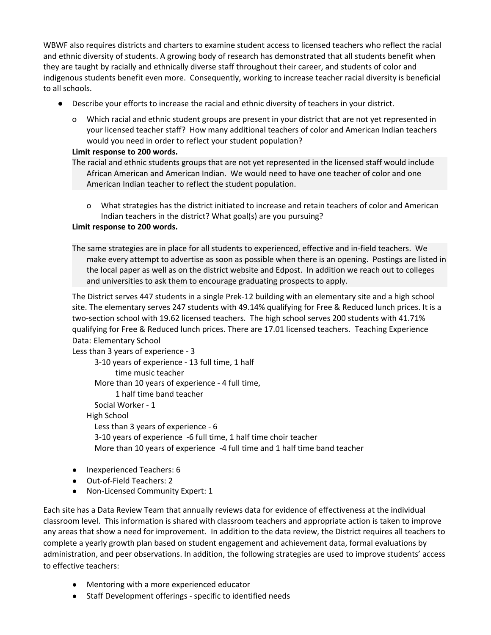WBWF also requires districts and charters to examine student access to licensed teachers who reflect the racial and ethnic diversity of students. A growing body of research has demonstrated that all students benefit when they are taught by racially and ethnically diverse staff throughout their career, and students of color and indigenous students benefit even more. Consequently, working to increase teacher racial diversity is beneficial to all schools.

- Describe your efforts to increase the racial and ethnic diversity of teachers in your district.
	- o Which racial and ethnic student groups are present in your district that are not yet represented in your licensed teacher staff? How many additional teachers of color and American Indian teachers would you need in order to reflect your student population?

### **Limit response to 200 words.**

- The racial and ethnic students groups that are not yet represented in the licensed staff would include African American and American Indian. We would need to have one teacher of color and one American Indian teacher to reflect the student population.
	- o What strategies has the district initiated to increase and retain teachers of color and American Indian teachers in the district? What goal(s) are you pursuing?

# **Limit response to 200 words.**

The same strategies are in place for all students to experienced, effective and in-field teachers. We make every attempt to advertise as soon as possible when there is an opening. Postings are listed in the local paper as well as on the district website and Edpost. In addition we reach out to colleges and universities to ask them to encourage graduating prospects to apply.

The District serves 447 students in a single Prek-12 building with an elementary site and a high school site. The elementary serves 247 students with 49.14% qualifying for Free & Reduced lunch prices. It is a two-section school with 19.62 licensed teachers. The high school serves 200 students with 41.71% qualifying for Free & Reduced lunch prices. There are 17.01 licensed teachers. Teaching Experience Data: Elementary School

Less than 3 years of experience - 3 3-10 years of experience - 13 full time, 1 half time music teacher More than 10 years of experience - 4 full time, 1 half time band teacher Social Worker - 1 High School Less than 3 years of experience - 6 3-10 years of experience -6 full time, 1 half time choir teacher More than 10 years of experience -4 full time and 1 half time band teacher

- *●* Inexperienced Teachers: 6
- *●* Out-of-Field Teachers: 2
- *●* Non-Licensed Community Expert: 1

Each site has a Data Review Team that annually reviews data for evidence of effectiveness at the individual classroom level. This information is shared with classroom teachers and appropriate action is taken to improve any areas that show a need for improvement. In addition to the data review, the District requires all teachers to complete a yearly growth plan based on student engagement and achievement data, formal evaluations by administration, and peer observations. In addition, the following strategies are used to improve students' access to effective teachers:

- *●* Mentoring with a more experienced educator
- *●* Staff Development offerings specific to identified needs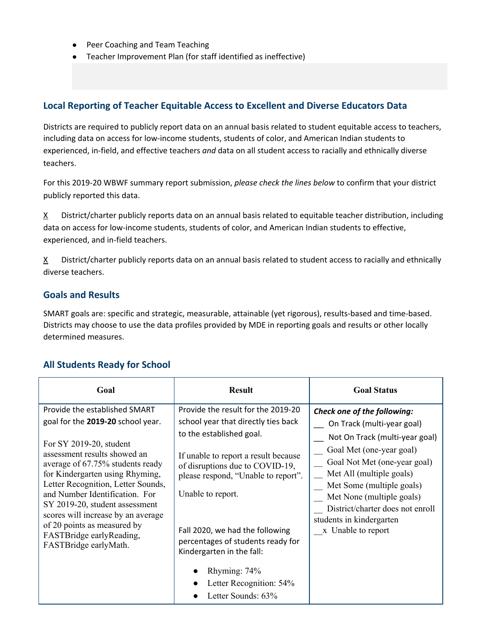- *●* Peer Coaching and Team Teaching
- Teacher Improvement Plan (for staff identified as ineffective)

# **Local Reporting of Teacher Equitable Access to Excellent and Diverse Educators Data**

Districts are required to publicly report data on an annual basis related to student equitable access to teachers, including data on access for low-income students, students of color, and American Indian students to experienced, in-field, and effective teachers *and* data on all student access to racially and ethnically diverse teachers.

For this 2019-20 WBWF summary report submission, *please check the lines below* to confirm that your district publicly reported this data.

 $X$  District/charter publicly reports data on an annual basis related to equitable teacher distribution, including data on access for low-income students, students of color, and American Indian students to effective, experienced, and in-field teachers.

 $X$  District/charter publicly reports data on an annual basis related to student access to racially and ethnically diverse teachers.

# **Goals and Results**

SMART goals are: specific and strategic, measurable, attainable (yet rigorous), results-based and time-based. Districts may choose to use the data profiles provided by MDE in reporting goals and results or other locally determined measures.

# **All Students Ready for School**

| Goal                                                                                                                                                                                                                                                                                                                                                                                                                                     | <b>Result</b>                                                                                                                                                                                                                                                                                                                                                                                | <b>Goal Status</b>                                                                                                                                                                                                                                                                                                                  |
|------------------------------------------------------------------------------------------------------------------------------------------------------------------------------------------------------------------------------------------------------------------------------------------------------------------------------------------------------------------------------------------------------------------------------------------|----------------------------------------------------------------------------------------------------------------------------------------------------------------------------------------------------------------------------------------------------------------------------------------------------------------------------------------------------------------------------------------------|-------------------------------------------------------------------------------------------------------------------------------------------------------------------------------------------------------------------------------------------------------------------------------------------------------------------------------------|
| Provide the established SMART<br>goal for the 2019-20 school year.<br>For SY 2019-20, student<br>assessment results showed an<br>average of 67.75% students ready<br>for Kindergarten using Rhyming,<br>Letter Recognition, Letter Sounds,<br>and Number Identification. For<br>SY 2019-20, student assessment<br>scores will increase by an average<br>of 20 points as measured by<br>FASTBridge earlyReading,<br>FASTBridge earlyMath. | Provide the result for the 2019-20<br>school year that directly ties back<br>to the established goal.<br>If unable to report a result because<br>of disruptions due to COVID-19,<br>please respond, "Unable to report".<br>Unable to report.<br>Fall 2020, we had the following<br>percentages of students ready for<br>Kindergarten in the fall:<br>Rhyming: 74%<br>Letter Recognition: 54% | Check one of the following:<br>On Track (multi-year goal)<br>Not On Track (multi-year goal)<br>Goal Met (one-year goal)<br>Goal Not Met (one-year goal)<br>Met All (multiple goals)<br>Met Some (multiple goals)<br>Met None (multiple goals)<br>District/charter does not enroll<br>students in kindergarten<br>x Unable to report |
|                                                                                                                                                                                                                                                                                                                                                                                                                                          | Letter Sounds: 63%                                                                                                                                                                                                                                                                                                                                                                           |                                                                                                                                                                                                                                                                                                                                     |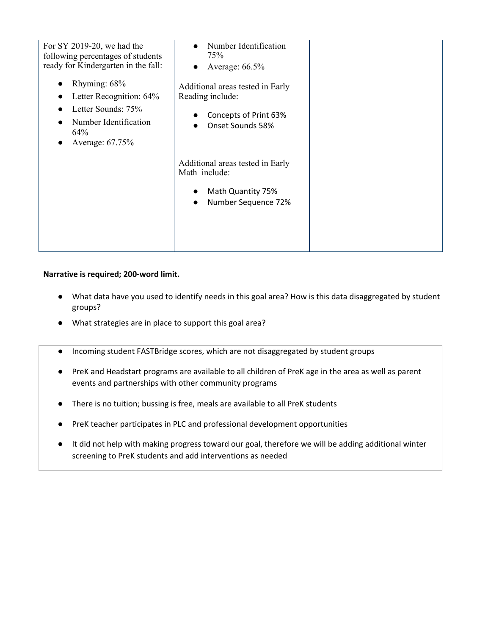| For SY 2019-20, we had the<br>following percentages of students<br>ready for Kindergarten in the fall:<br>Rhyming: 68%<br>Letter Recognition: 64%<br>Letter Sounds: 75%<br>Number Identification<br>64%<br>Average: 67.75% | Number Identification<br>75%<br>Average: 66.5%<br>Additional areas tested in Early<br>Reading include:<br>Concepts of Print 63%<br>Onset Sounds 58% |  |
|----------------------------------------------------------------------------------------------------------------------------------------------------------------------------------------------------------------------------|-----------------------------------------------------------------------------------------------------------------------------------------------------|--|
|                                                                                                                                                                                                                            | Additional areas tested in Early<br>Math include:<br>Math Quantity 75%<br>Number Sequence 72%                                                       |  |

- What data have you used to identify needs in this goal area? How is this data disaggregated by student groups?
- What strategies are in place to support this goal area?
- Incoming student FASTBridge scores, which are not disaggregated by student groups
- PreK and Headstart programs are available to all children of PreK age in the area as well as parent events and partnerships with other community programs
- There is no tuition; bussing is free, meals are available to all PreK students
- PreK teacher participates in PLC and professional development opportunities
- It did not help with making progress toward our goal, therefore we will be adding additional winter screening to PreK students and add interventions as needed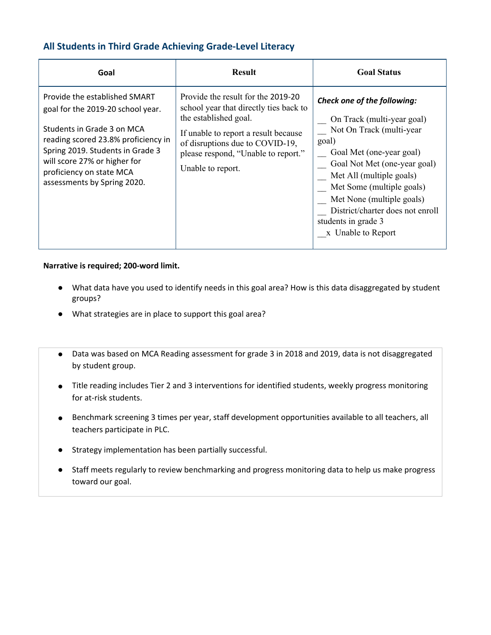# **All Students in Third Grade Achieving Grade-Level Literacy**

| Goal                                                                                                                                                                                                                                                                   | <b>Result</b>                                                                                                                                                                                                                                | <b>Goal Status</b>                                                                                                                                                                                                                                                                                                                |
|------------------------------------------------------------------------------------------------------------------------------------------------------------------------------------------------------------------------------------------------------------------------|----------------------------------------------------------------------------------------------------------------------------------------------------------------------------------------------------------------------------------------------|-----------------------------------------------------------------------------------------------------------------------------------------------------------------------------------------------------------------------------------------------------------------------------------------------------------------------------------|
| Provide the established SMART<br>goal for the 2019-20 school year.<br>Students in Grade 3 on MCA<br>reading scored 23.8% proficiency in<br>Spring 2019. Students in Grade 3<br>will score 27% or higher for<br>proficiency on state MCA<br>assessments by Spring 2020. | Provide the result for the 2019-20<br>school year that directly ties back to<br>the established goal.<br>If unable to report a result because<br>of disruptions due to COVID-19,<br>please respond, "Unable to report."<br>Unable to report. | Check one of the following:<br>On Track (multi-year goal)<br>Not On Track (multi-year<br>goal)<br>Goal Met (one-year goal)<br>Goal Not Met (one-year goal)<br>Met All (multiple goals)<br>Met Some (multiple goals)<br>Met None (multiple goals)<br>District/charter does not enroll<br>students in grade 3<br>x Unable to Report |

- What data have you used to identify needs in this goal area? How is this data disaggregated by student groups?
- What strategies are in place to support this goal area?
- Data was based on MCA Reading assessment for grade 3 in 2018 and 2019, data is not disaggregated by student group.
- Title reading includes Tier 2 and 3 interventions for identified students, weekly progress monitoring for at-risk students.
- Benchmark screening 3 times per year, staff development opportunities available to all teachers, all teachers participate in PLC.
- Strategy implementation has been partially successful.
- Staff meets regularly to review benchmarking and progress monitoring data to help us make progress toward our goal.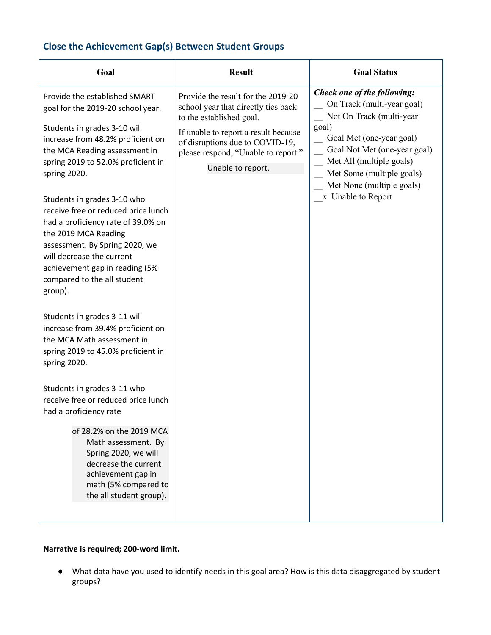# **Close the Achievement Gap(s) Between Student Groups**

| Goal                                                                                                                                                                                                                                                                                                                                                                                                                                                                                                          | <b>Result</b>                                                                                                                                                                                                                                | <b>Goal Status</b>                                                                                                                                                                                                                                                     |
|---------------------------------------------------------------------------------------------------------------------------------------------------------------------------------------------------------------------------------------------------------------------------------------------------------------------------------------------------------------------------------------------------------------------------------------------------------------------------------------------------------------|----------------------------------------------------------------------------------------------------------------------------------------------------------------------------------------------------------------------------------------------|------------------------------------------------------------------------------------------------------------------------------------------------------------------------------------------------------------------------------------------------------------------------|
| Provide the established SMART<br>goal for the 2019-20 school year.<br>Students in grades 3-10 will<br>increase from 48.2% proficient on<br>the MCA Reading assessment in<br>spring 2019 to 52.0% proficient in<br>spring 2020.<br>Students in grades 3-10 who<br>receive free or reduced price lunch<br>had a proficiency rate of 39.0% on<br>the 2019 MCA Reading<br>assessment. By Spring 2020, we<br>will decrease the current<br>achievement gap in reading (5%<br>compared to the all student<br>group). | Provide the result for the 2019-20<br>school year that directly ties back<br>to the established goal.<br>If unable to report a result because<br>of disruptions due to COVID-19,<br>please respond, "Unable to report."<br>Unable to report. | Check one of the following:<br>On Track (multi-year goal)<br>Not On Track (multi-year<br>goal)<br>Goal Met (one-year goal)<br>Goal Not Met (one-year goal)<br>Met All (multiple goals)<br>Met Some (multiple goals)<br>Met None (multiple goals)<br>x Unable to Report |
| Students in grades 3-11 will<br>increase from 39.4% proficient on<br>the MCA Math assessment in<br>spring 2019 to 45.0% proficient in<br>spring 2020.<br>Students in grades 3-11 who<br>receive free or reduced price lunch<br>had a proficiency rate<br>of 28.2% on the 2019 MCA<br>Math assessment. By<br>Spring 2020, we will<br>decrease the current<br>achievement gap in<br>math (5% compared to<br>the all student group).                                                                             |                                                                                                                                                                                                                                              |                                                                                                                                                                                                                                                                        |

# **Narrative is required; 200-word limit.**

● What data have you used to identify needs in this goal area? How is this data disaggregated by student groups?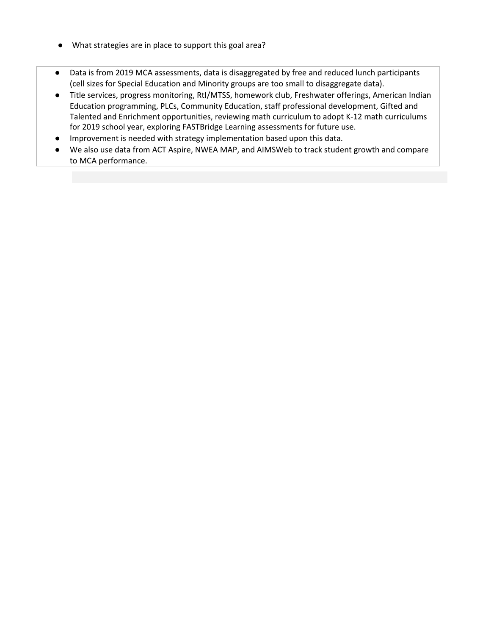- What strategies are in place to support this goal area?
- Data is from 2019 MCA assessments, data is disaggregated by free and reduced lunch participants (cell sizes for Special Education and Minority groups are too small to disaggregate data).
- Title services, progress monitoring, RtI/MTSS, homework club, Freshwater offerings, American Indian Education programming, PLCs, Community Education, staff professional development, Gifted and Talented and Enrichment opportunities, reviewing math curriculum to adopt K-12 math curriculums for 2019 school year, exploring FASTBridge Learning assessments for future use.
- Improvement is needed with strategy implementation based upon this data.
- We also use data from ACT Aspire, NWEA MAP, and AIMSWeb to track student growth and compare to MCA performance.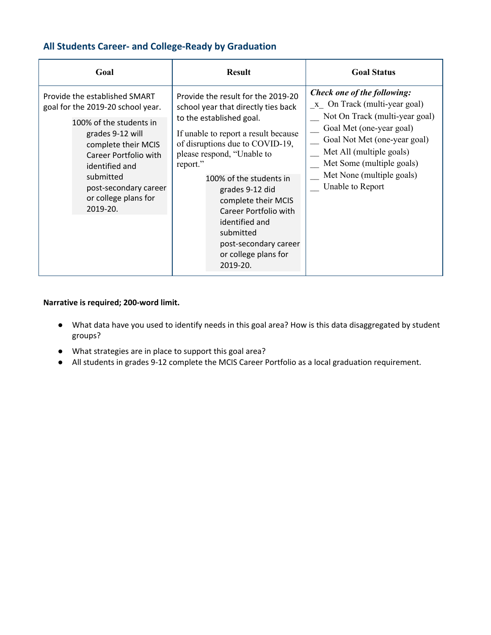# **All Students Career- and College-Ready by Graduation**

| Goal                                                                                                                                                                                                                                                          | <b>Result</b>                                                                                                                                                                                                                                                                                                                                                                                                        | <b>Goal Status</b>                                                                                                                                                                                                                                                  |
|---------------------------------------------------------------------------------------------------------------------------------------------------------------------------------------------------------------------------------------------------------------|----------------------------------------------------------------------------------------------------------------------------------------------------------------------------------------------------------------------------------------------------------------------------------------------------------------------------------------------------------------------------------------------------------------------|---------------------------------------------------------------------------------------------------------------------------------------------------------------------------------------------------------------------------------------------------------------------|
| Provide the established SMART<br>goal for the 2019-20 school year.<br>100% of the students in<br>grades 9-12 will<br>complete their MCIS<br>Career Portfolio with<br>identified and<br>submitted<br>post-secondary career<br>or college plans for<br>2019-20. | Provide the result for the 2019-20<br>school year that directly ties back<br>to the established goal.<br>If unable to report a result because<br>of disruptions due to COVID-19,<br>please respond, "Unable to<br>report."<br>100% of the students in<br>grades 9-12 did<br>complete their MCIS<br>Career Portfolio with<br>identified and<br>submitted<br>post-secondary career<br>or college plans for<br>2019-20. | Check one of the following:<br>x On Track (multi-year goal)<br>Not On Track (multi-year goal)<br>Goal Met (one-year goal)<br>Goal Not Met (one-year goal)<br>Met All (multiple goals)<br>Met Some (multiple goals)<br>Met None (multiple goals)<br>Unable to Report |

- What data have you used to identify needs in this goal area? How is this data disaggregated by student groups?
- What strategies are in place to support this goal area?
- All students in grades 9-12 complete the MCIS Career Portfolio as a local graduation requirement.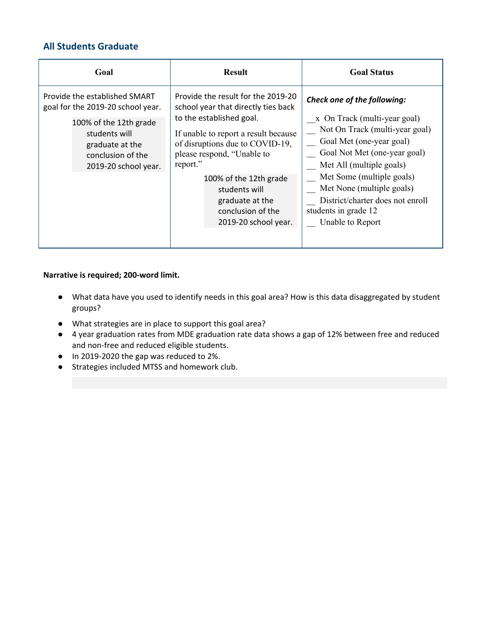# **All Students Graduate**

| Goal                                                                                                                                                                          | <b>Result</b>                                                                                                                                                                                                                                                                                                                         | <b>Goal Status</b>                                                                                                                                                                                                                                                                                                              |
|-------------------------------------------------------------------------------------------------------------------------------------------------------------------------------|---------------------------------------------------------------------------------------------------------------------------------------------------------------------------------------------------------------------------------------------------------------------------------------------------------------------------------------|---------------------------------------------------------------------------------------------------------------------------------------------------------------------------------------------------------------------------------------------------------------------------------------------------------------------------------|
| Provide the established SMART<br>goal for the 2019-20 school year.<br>100% of the 12th grade<br>students will<br>graduate at the<br>conclusion of the<br>2019-20 school year. | Provide the result for the 2019-20<br>school year that directly ties back<br>to the established goal.<br>If unable to report a result because<br>of disruptions due to COVID-19,<br>please respond, "Unable to<br>report."<br>100% of the 12th grade<br>students will<br>graduate at the<br>conclusion of the<br>2019-20 school year. | Check one of the following:<br>x On Track (multi-year goal)<br>Not On Track (multi-year goal)<br>Goal Met (one-year goal)<br>Goal Not Met (one-year goal)<br>Met All (multiple goals)<br>Met Some (multiple goals)<br>Met None (multiple goals)<br>District/charter does not enroll<br>students in grade 12<br>Unable to Report |
|                                                                                                                                                                               |                                                                                                                                                                                                                                                                                                                                       |                                                                                                                                                                                                                                                                                                                                 |

- What data have you used to identify needs in this goal area? How is this data disaggregated by student groups?
- What strategies are in place to support this goal area?
- 4 year graduation rates from MDE graduation rate data shows a gap of 12% between free and reduced and non-free and reduced eligible students.
- In 2019-2020 the gap was reduced to 2%.
- Strategies included MTSS and homework club.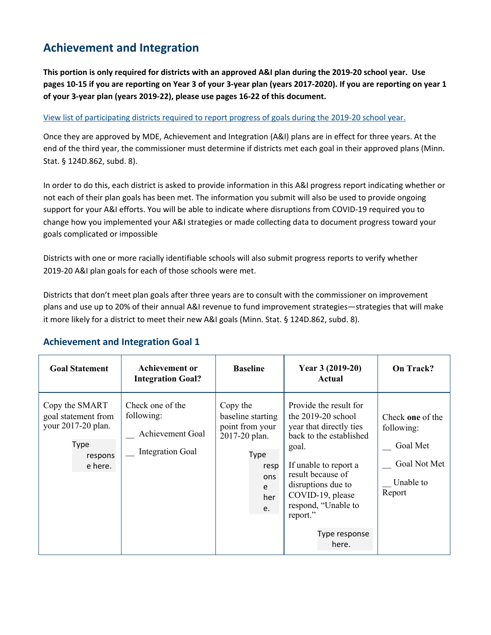# **Achievement and Integration**

This portion is only required for districts with an approved A&I plan during the 2019-20 school year. Use pages 10-15 if you are reporting on Year 3 of your 3-year plan (years 2017-2020). If you are reporting on year 1 **of your 3-year plan (years 2019-22), please use pages 16-22 of this document.**

# View list of [participating](https://education.mn.gov/MDE/fam/003359) districts required to report progress of goals during the 2019-20 school year.

Once they are approved by MDE, Achievement and Integration (A&I) plans are in effect for three years. At the end of the third year, the commissioner must determine if districts met each goal in their approved plans (Minn. Stat. § 124D.862, subd. 8).

In order to do this, each district is asked to provide information in this A&I progress report indicating whether or not each of their plan goals has been met. The information you submit will also be used to provide ongoing support for your A&I efforts. You will be able to indicate where disruptions from COVID-19 required you to change how you implemented your A&I strategies or made collecting data to document progress toward your goals complicated or impossible

Districts with one or more racially identifiable schools will also submit progress reports to verify whether 2019-20 A&I plan goals for each of those schools were met.

Districts that don't meet plan goals after three years are to consult with the commissioner on improvement plans and use up to 20% of their annual A&I revenue to fund improvement strategies—strategies that will make it more likely for a district to meet their new A&I goals (Minn. Stat. § 124D.862, subd. 8).

#### **Goal Statement Achievement or Integration Goal? Baseline Year 3 (2019-20) Actual On Track?** Copy the SMART goal statement from your 2017-20 plan. Type respons e here. Check one of the following: \_\_ Achievement Goal \_\_ Integration Goal Copy the baseline starting point from your 2017-20 plan. Type resp ons e her e. Provide the result for the 2019-20 school year that directly ties back to the established goal. If unable to report a result because of disruptions due to COVID-19, please respond, "Unable to report." Type response here. Check **one** of the following: Goal Met \_\_ Goal Not Met Unable to Report

# **Achievement and Integration Goal 1**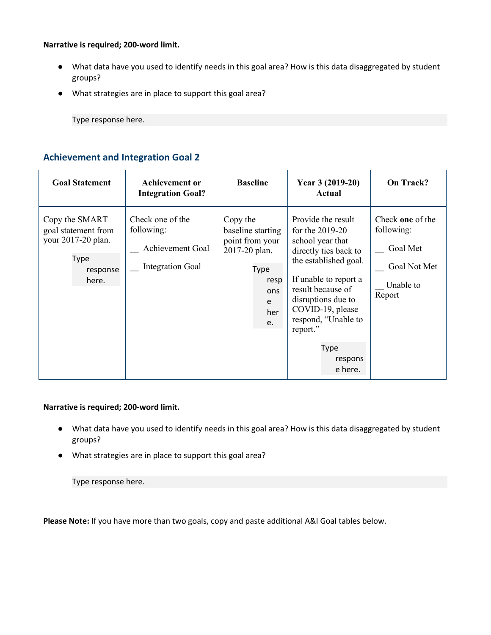### **Narrative is required; 200-word limit.**

- What data have you used to identify needs in this goal area? How is this data disaggregated by student groups?
- What strategies are in place to support this goal area?

Type response here.

# **Achievement and Integration Goal 2**

| <b>Goal Statement</b>                                                                    | <b>Achievement or</b><br><b>Integration Goal?</b>                                    | <b>Baseline</b>                                                                                            | Year 3 (2019-20)<br>Actual                                                                                                                                                                                                                                                    | On Track?                                                                         |
|------------------------------------------------------------------------------------------|--------------------------------------------------------------------------------------|------------------------------------------------------------------------------------------------------------|-------------------------------------------------------------------------------------------------------------------------------------------------------------------------------------------------------------------------------------------------------------------------------|-----------------------------------------------------------------------------------|
| Copy the SMART<br>goal statement from<br>your 2017-20 plan.<br>Type<br>response<br>here. | Check one of the<br>following:<br><b>Achievement Goal</b><br><b>Integration Goal</b> | Copy the<br>baseline starting<br>point from your<br>2017-20 plan.<br>Type<br>resp<br>ons<br>e<br>her<br>e. | Provide the result<br>for the $2019-20$<br>school year that<br>directly ties back to<br>the established goal.<br>If unable to report a<br>result because of<br>disruptions due to<br>COVID-19, please<br>respond, "Unable to<br>report."<br><b>Type</b><br>respons<br>e here. | Check one of the<br>following:<br>Goal Met<br>Goal Not Met<br>Unable to<br>Report |

# **Narrative is required; 200-word limit.**

- What data have you used to identify needs in this goal area? How is this data disaggregated by student groups?
- What strategies are in place to support this goal area?

Type response here.

**Please Note:** If you have more than two goals, copy and paste additional A&I Goal tables below.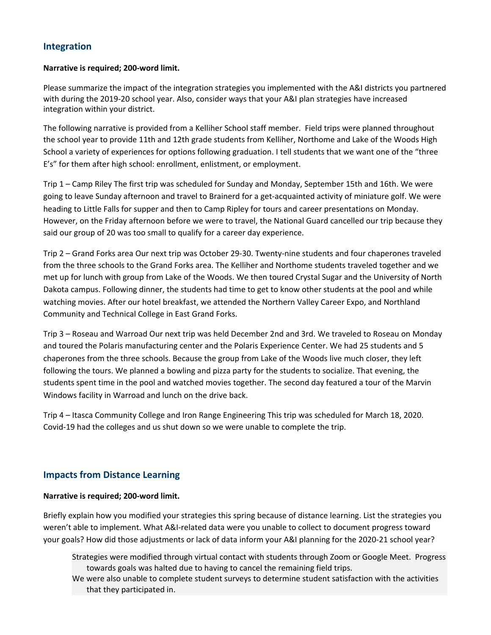# **Integration**

### **Narrative is required; 200-word limit.**

Please summarize the impact of the integration strategies you implemented with the A&I districts you partnered with during the 2019-20 school year. Also, consider ways that your A&I plan strategies have increased integration within your district.

The following narrative is provided from a Kelliher School staff member. Field trips were planned throughout the school year to provide 11th and 12th grade students from Kelliher, Northome and Lake of the Woods High School a variety of experiences for options following graduation. I tell students that we want one of the "three E's" for them after high school: enrollment, enlistment, or employment.

Trip 1 – Camp Riley The first trip was scheduled for Sunday and Monday, September 15th and 16th. We were going to leave Sunday afternoon and travel to Brainerd for a get-acquainted activity of miniature golf. We were heading to Little Falls for supper and then to Camp Ripley for tours and career presentations on Monday. However, on the Friday afternoon before we were to travel, the National Guard cancelled our trip because they said our group of 20 was too small to qualify for a career day experience.

Trip 2 – Grand Forks area Our next trip was October 29-30. Twenty-nine students and four chaperones traveled from the three schools to the Grand Forks area. The Kelliher and Northome students traveled together and we met up for lunch with group from Lake of the Woods. We then toured Crystal Sugar and the University of North Dakota campus. Following dinner, the students had time to get to know other students at the pool and while watching movies. After our hotel breakfast, we attended the Northern Valley Career Expo, and Northland Community and Technical College in East Grand Forks.

Trip 3 – Roseau and Warroad Our next trip was held December 2nd and 3rd. We traveled to Roseau on Monday and toured the Polaris manufacturing center and the Polaris Experience Center. We had 25 students and 5 chaperones from the three schools. Because the group from Lake of the Woods live much closer, they left following the tours. We planned a bowling and pizza party for the students to socialize. That evening, the students spent time in the pool and watched movies together. The second day featured a tour of the Marvin Windows facility in Warroad and lunch on the drive back.

Trip 4 – Itasca Community College and Iron Range Engineering This trip was scheduled for March 18, 2020. Covid-19 had the colleges and us shut down so we were unable to complete the trip.

# **Impacts from Distance Learning**

# **Narrative is required; 200-word limit.**

Briefly explain how you modified your strategies this spring because of distance learning. List the strategies you weren't able to implement. What A&I-related data were you unable to collect to document progress toward your goals? How did those adjustments or lack of data inform your A&I planning for the 2020-21 school year?

Strategies were modified through virtual contact with students through Zoom or Google Meet. Progress towards goals was halted due to having to cancel the remaining field trips.

We were also unable to complete student surveys to determine student satisfaction with the activities that they participated in.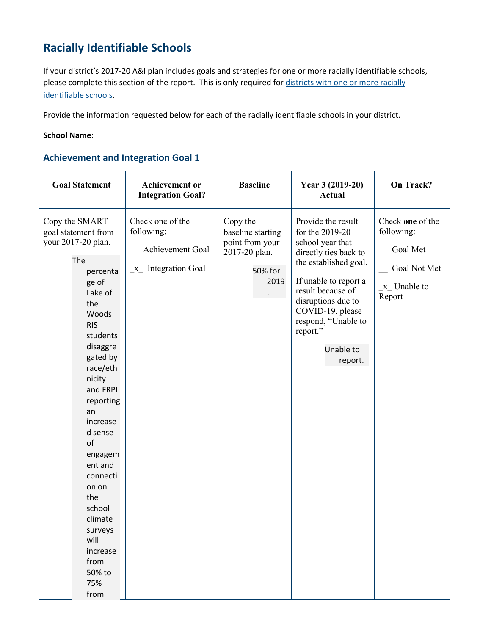# **Racially Identifiable Schools**

If your district's 2017-20 A&I plan includes goals and strategies for one or more racially identifiable schools, please complete this section of the report. This is only required for [districts](https://education.mn.gov/MDE/fam/MDE087638) with one or more racially [identifiable](https://education.mn.gov/MDE/fam/MDE087638) schools.

Provide the information requested below for each of the racially identifiable schools in your district.

# **School Name:**

# **Achievement and Integration Goal 1**

| <b>Goal Statement</b>                                                                                                                                                                                                                                                                                                                                                                         | <b>Achievement</b> or<br><b>Integration Goal?</b>                           | <b>Baseline</b>                                                                      | Year 3 (2019-20)<br><b>Actual</b>                                                                                                                                                                                                                              | On Track?                                                                           |
|-----------------------------------------------------------------------------------------------------------------------------------------------------------------------------------------------------------------------------------------------------------------------------------------------------------------------------------------------------------------------------------------------|-----------------------------------------------------------------------------|--------------------------------------------------------------------------------------|----------------------------------------------------------------------------------------------------------------------------------------------------------------------------------------------------------------------------------------------------------------|-------------------------------------------------------------------------------------|
| Copy the SMART<br>goal statement from<br>your 2017-20 plan.<br>The<br>percenta<br>ge of<br>Lake of<br>the<br>Woods<br><b>RIS</b><br>students<br>disaggre<br>gated by<br>race/eth<br>nicity<br>and FRPL<br>reporting<br>an<br>increase<br>d sense<br>of<br>engagem<br>ent and<br>connecti<br>on on<br>the<br>school<br>climate<br>surveys<br>will<br>increase<br>from<br>50% to<br>75%<br>from | Check one of the<br>following:<br>Achievement Goal<br>$x_$ Integration Goal | Copy the<br>baseline starting<br>point from your<br>2017-20 plan.<br>50% for<br>2019 | Provide the result<br>for the 2019-20<br>school year that<br>directly ties back to<br>the established goal.<br>If unable to report a<br>result because of<br>disruptions due to<br>COVID-19, please<br>respond, "Unable to<br>report."<br>Unable to<br>report. | Check one of the<br>following:<br>Goal Met<br>Goal Not Met<br>x Unable to<br>Report |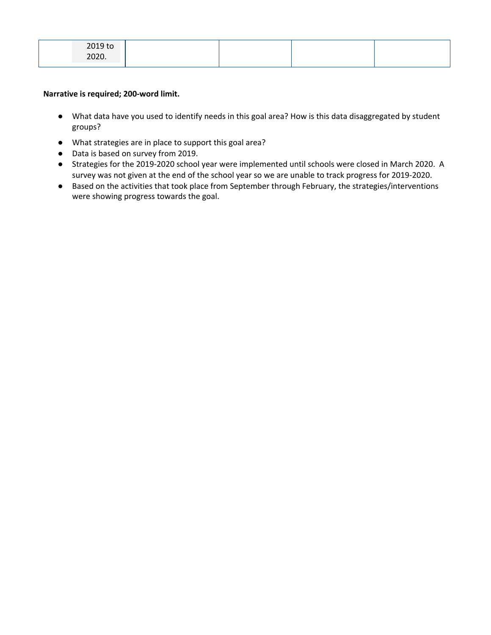| 2020. | $2010 + 2$<br><b>SOTA TO</b> |  |  |
|-------|------------------------------|--|--|
|       |                              |  |  |

- What data have you used to identify needs in this goal area? How is this data disaggregated by student groups?
- What strategies are in place to support this goal area?
- Data is based on survey from 2019.
- Strategies for the 2019-2020 school year were implemented until schools were closed in March 2020. A survey was not given at the end of the school year so we are unable to track progress for 2019-2020.
- Based on the activities that took place from September through February, the strategies/interventions were showing progress towards the goal.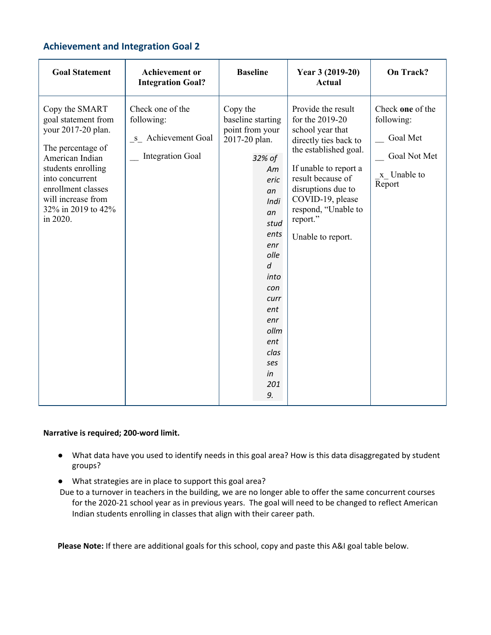# **Achievement and Integration Goal 2**

| <b>Goal Statement</b>                                                                                                                                                                                                      | <b>Achievement</b> or<br><b>Integration Goal?</b>                               | <b>Baseline</b>                                                                                                                                                                                                                                      | Year 3 (2019-20)<br>Actual                                                                                                                                                                                                                                  | <b>On Track?</b>                                                                    |
|----------------------------------------------------------------------------------------------------------------------------------------------------------------------------------------------------------------------------|---------------------------------------------------------------------------------|------------------------------------------------------------------------------------------------------------------------------------------------------------------------------------------------------------------------------------------------------|-------------------------------------------------------------------------------------------------------------------------------------------------------------------------------------------------------------------------------------------------------------|-------------------------------------------------------------------------------------|
| Copy the SMART<br>goal statement from<br>your 2017-20 plan.<br>The percentage of<br>American Indian<br>students enrolling<br>into concurrent<br>enrollment classes<br>will increase from<br>32% in 2019 to 42%<br>in 2020. | Check one of the<br>following:<br>s Achievement Goal<br><b>Integration Goal</b> | Copy the<br>baseline starting<br>point from your<br>2017-20 plan.<br>32% of<br>Am<br>eric<br>an<br>Indi<br>an<br>stud<br>ents<br>enr<br>olle<br>$\overline{d}$<br>into<br>con<br>curr<br>ent<br>enr<br>ollm<br>ent<br>clas<br>ses<br>in<br>201<br>9. | Provide the result<br>for the 2019-20<br>school year that<br>directly ties back to<br>the established goal.<br>If unable to report a<br>result because of<br>disruptions due to<br>COVID-19, please<br>respond, "Unable to<br>report."<br>Unable to report. | Check one of the<br>following:<br>Goal Met<br>Goal Not Met<br>x Unable to<br>Report |

# **Narrative is required; 200-word limit.**

- What data have you used to identify needs in this goal area? How is this data disaggregated by student groups?
- What strategies are in place to support this goal area?
- Due to a turnover in teachers in the building, we are no longer able to offer the same concurrent courses for the 2020-21 school year as in previous years. The goal will need to be changed to reflect American Indian students enrolling in classes that align with their career path.

**Please Note:** If there are additional goals for this school, copy and paste this A&I goal table below.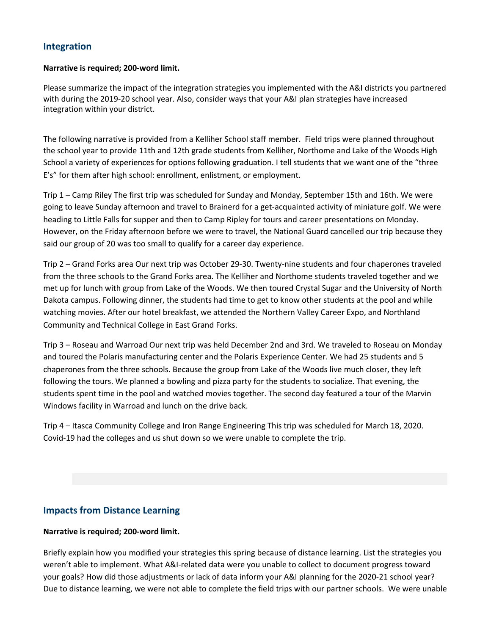# **Integration**

### **Narrative is required; 200-word limit.**

Please summarize the impact of the integration strategies you implemented with the A&I districts you partnered with during the 2019-20 school year. Also, consider ways that your A&I plan strategies have increased integration within your district.

The following narrative is provided from a Kelliher School staff member. Field trips were planned throughout the school year to provide 11th and 12th grade students from Kelliher, Northome and Lake of the Woods High School a variety of experiences for options following graduation. I tell students that we want one of the "three E's" for them after high school: enrollment, enlistment, or employment.

Trip 1 – Camp Riley The first trip was scheduled for Sunday and Monday, September 15th and 16th. We were going to leave Sunday afternoon and travel to Brainerd for a get-acquainted activity of miniature golf. We were heading to Little Falls for supper and then to Camp Ripley for tours and career presentations on Monday. However, on the Friday afternoon before we were to travel, the National Guard cancelled our trip because they said our group of 20 was too small to qualify for a career day experience.

Trip 2 – Grand Forks area Our next trip was October 29-30. Twenty-nine students and four chaperones traveled from the three schools to the Grand Forks area. The Kelliher and Northome students traveled together and we met up for lunch with group from Lake of the Woods. We then toured Crystal Sugar and the University of North Dakota campus. Following dinner, the students had time to get to know other students at the pool and while watching movies. After our hotel breakfast, we attended the Northern Valley Career Expo, and Northland Community and Technical College in East Grand Forks.

Trip 3 – Roseau and Warroad Our next trip was held December 2nd and 3rd. We traveled to Roseau on Monday and toured the Polaris manufacturing center and the Polaris Experience Center. We had 25 students and 5 chaperones from the three schools. Because the group from Lake of the Woods live much closer, they left following the tours. We planned a bowling and pizza party for the students to socialize. That evening, the students spent time in the pool and watched movies together. The second day featured a tour of the Marvin Windows facility in Warroad and lunch on the drive back.

Trip 4 – Itasca Community College and Iron Range Engineering This trip was scheduled for March 18, 2020. Covid-19 had the colleges and us shut down so we were unable to complete the trip.

# **Impacts from Distance Learning**

# **Narrative is required; 200-word limit.**

Briefly explain how you modified your strategies this spring because of distance learning. List the strategies you weren't able to implement. What A&I-related data were you unable to collect to document progress toward your goals? How did those adjustments or lack of data inform your A&I planning for the 2020-21 school year? Due to distance learning, we were not able to complete the field trips with our partner schools. We were unable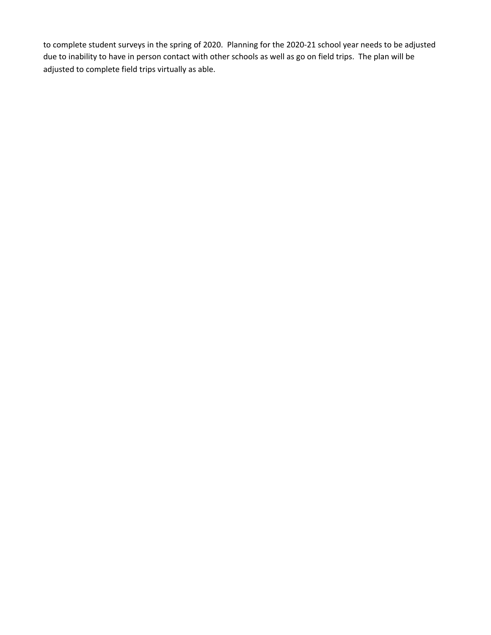to complete student surveys in the spring of 2020. Planning for the 2020-21 school year needs to be adjusted due to inability to have in person contact with other schools as well as go on field trips. The plan will be adjusted to complete field trips virtually as able.